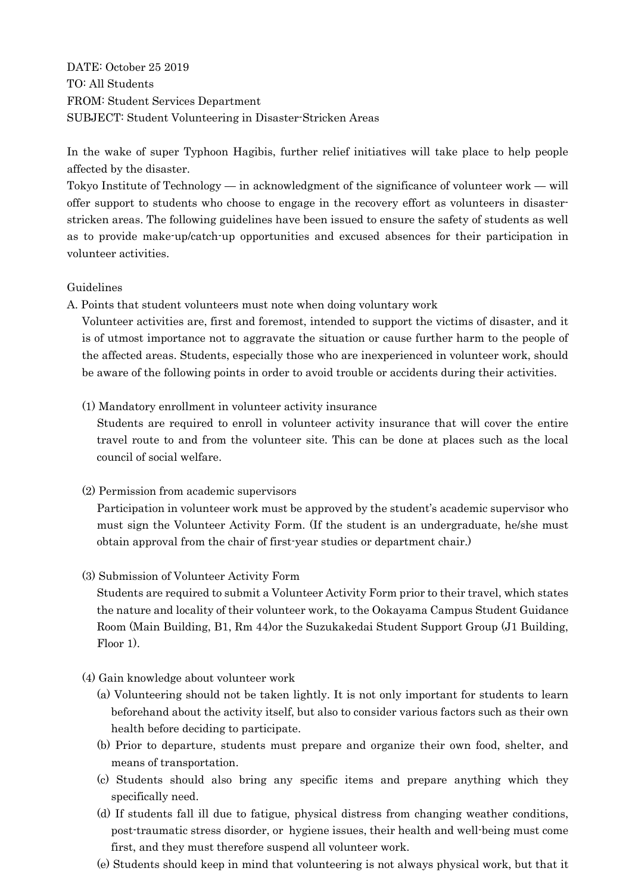DATE: October 25 2019 TO: All Students FROM: Student Services Department SUBJECT: Student Volunteering in Disaster-Stricken Areas

In the wake of super Typhoon Hagibis, further relief initiatives will take place to help people affected by the disaster.

Tokyo Institute of Technology — in acknowledgment of the significance of volunteer work — will offer support to students who choose to engage in the recovery effort as volunteers in disasterstricken areas. The following guidelines have been issued to ensure the safety of students as well as to provide make-up/catch-up opportunities and excused absences for their participation in volunteer activities.

## Guidelines

A. Points that student volunteers must note when doing voluntary work

Volunteer activities are, first and foremost, intended to support the victims of disaster, and it is of utmost importance not to aggravate the situation or cause further harm to the people of the affected areas. Students, especially those who are inexperienced in volunteer work, should be aware of the following points in order to avoid trouble or accidents during their activities.

(1) Mandatory enrollment in volunteer activity insurance

Students are required to enroll in volunteer activity insurance that will cover the entire travel route to and from the volunteer site. This can be done at places such as the local council of social welfare.

(2) Permission from academic supervisors

Participation in volunteer work must be approved by the student's academic supervisor who must sign the Volunteer Activity Form. (If the student is an undergraduate, he/she must obtain approval from the chair of first-year studies or department chair.)

(3) Submission of Volunteer Activity Form

Students are required to submit a Volunteer Activity Form prior to their travel, which states the nature and locality of their volunteer work, to the Ookayama Campus Student Guidance Room (Main Building, B1, Rm 44)or the Suzukakedai Student Support Group (J1 Building, Floor 1).

- (4) Gain knowledge about volunteer work
	- (a) Volunteering should not be taken lightly. It is not only important for students to learn beforehand about the activity itself, but also to consider various factors such as their own health before deciding to participate.
	- (b) Prior to departure, students must prepare and organize their own food, shelter, and means of transportation.
	- (c) Students should also bring any specific items and prepare anything which they specifically need.
	- (d) If students fall ill due to fatigue, physical distress from changing weather conditions, post-traumatic stress disorder, or hygiene issues, their health and well-being must come first, and they must therefore suspend all volunteer work.
	- (e) Students should keep in mind that volunteering is not always physical work, but that it